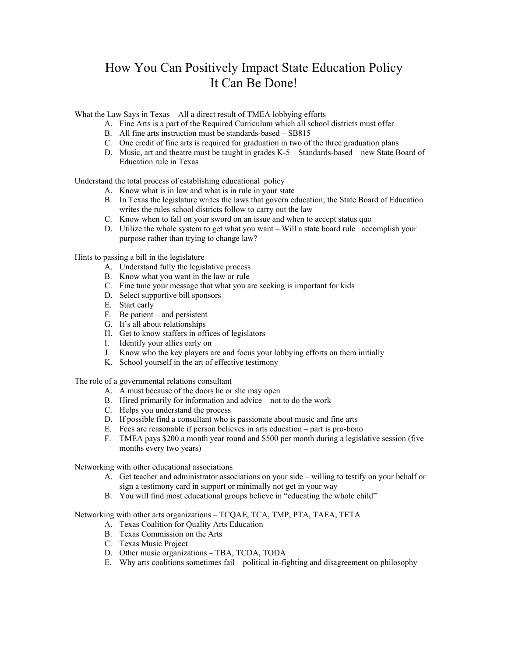## How You Can Positively Impact State Education Policy It Can Be Done!

What the Law Says in Texas – All a direct result of TMEA lobbying efforts

- A. Fine Arts is a part of the Required Curriculum which all school districts must offer
- B. All fine arts instruction must be standards-based SB815
- C. One credit of fine arts is required for graduation in two of the three graduation plans
- D. Music, art and theatre must be taught in grades K-5 Standards-based new State Board of Education rule in Texas

Understand the total process of establishing educational policy

- A. Know what is in law and what is in rule in your state
- B. In Texas the legislature writes the laws that govern education; the State Board of Education writes the rules school districts follow to carry out the law
- C. Know when to fall on your sword on an issue and when to accept status quo
- D. Utilize the whole system to get what you want Will a state board rule accomplish your purpose rather than trying to change law?

Hints to passing a bill in the legislature

- A. Understand fully the legislative process
- B. Know what you want in the law or rule
- C. Fine tune your message that what you are seeking is important for kids
- D. Select supportive bill sponsors
- E. Start early
- F. Be patient and persistent
- G. It's all about relationships
- H. Get to know staffers in offices of legislators
- I. Identify your allies early on
- J. Know who the key players are and focus your lobbying efforts on them initially
- K. School yourself in the art of effective testimony

The role of a governmental relations consultant

- A. A must because of the doors he or she may open
- B. Hired primarily for information and advice not to do the work
- C. Helps you understand the process
- D. If possible find a consultant who is passionate about music and fine arts
- E. Fees are reasonable if person believes in arts education part is pro-bono
- F. TMEA pays \$200 a month year round and \$500 per month during a legislative session (five months every two years)

Networking with other educational associations

- A. Get teacher and administrator associations on your side willing to testify on your behalf or sign a testimony card in support or minimally not get in your way
- B. You will find most educational groups believe in "educating the whole child"

Networking with other arts organizations – TCQAE, TCA, TMP, PTA, TAEA, TETA

- A. Texas Coalition for Quality Arts Education
- B. Texas Commission on the Arts
- C. Texas Music Project
- D. Other music organizations TBA, TCDA, TODA
- E. Why arts coalitions sometimes fail political in-fighting and disagreement on philosophy